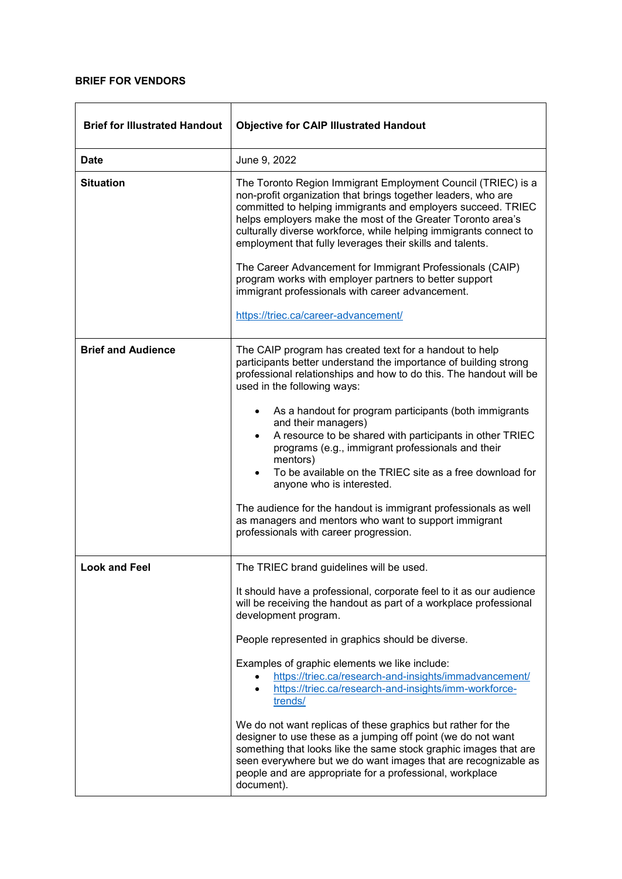## **BRIEF FOR VENDORS**

| <b>Brief for Illustrated Handout</b> | <b>Objective for CAIP Illustrated Handout</b>                                                                                                                                                                                                                                                                                                                                                                                                                                                                                                                                                                                                                                                                                                                                                    |
|--------------------------------------|--------------------------------------------------------------------------------------------------------------------------------------------------------------------------------------------------------------------------------------------------------------------------------------------------------------------------------------------------------------------------------------------------------------------------------------------------------------------------------------------------------------------------------------------------------------------------------------------------------------------------------------------------------------------------------------------------------------------------------------------------------------------------------------------------|
| <b>Date</b>                          | June 9, 2022                                                                                                                                                                                                                                                                                                                                                                                                                                                                                                                                                                                                                                                                                                                                                                                     |
| <b>Situation</b>                     | The Toronto Region Immigrant Employment Council (TRIEC) is a<br>non-profit organization that brings together leaders, who are<br>committed to helping immigrants and employers succeed. TRIEC<br>helps employers make the most of the Greater Toronto area's<br>culturally diverse workforce, while helping immigrants connect to<br>employment that fully leverages their skills and talents.<br>The Career Advancement for Immigrant Professionals (CAIP)<br>program works with employer partners to better support<br>immigrant professionals with career advancement.<br>https://triec.ca/career-advancement/                                                                                                                                                                                |
| <b>Brief and Audience</b>            | The CAIP program has created text for a handout to help<br>participants better understand the importance of building strong<br>professional relationships and how to do this. The handout will be<br>used in the following ways:<br>As a handout for program participants (both immigrants<br>and their managers)<br>A resource to be shared with participants in other TRIEC<br>programs (e.g., immigrant professionals and their<br>mentors)<br>To be available on the TRIEC site as a free download for<br>anyone who is interested.<br>The audience for the handout is immigrant professionals as well<br>as managers and mentors who want to support immigrant<br>professionals with career progression.                                                                                    |
| <b>Look and Feel</b>                 | The TRIEC brand guidelines will be used.<br>It should have a professional, corporate feel to it as our audience<br>will be receiving the handout as part of a workplace professional<br>development program.<br>People represented in graphics should be diverse.<br>Examples of graphic elements we like include:<br>https://triec.ca/research-and-insights/immadvancement/<br>https://triec.ca/research-and-insights/imm-workforce-<br>trends/<br>We do not want replicas of these graphics but rather for the<br>designer to use these as a jumping off point (we do not want<br>something that looks like the same stock graphic images that are<br>seen everywhere but we do want images that are recognizable as<br>people and are appropriate for a professional, workplace<br>document). |